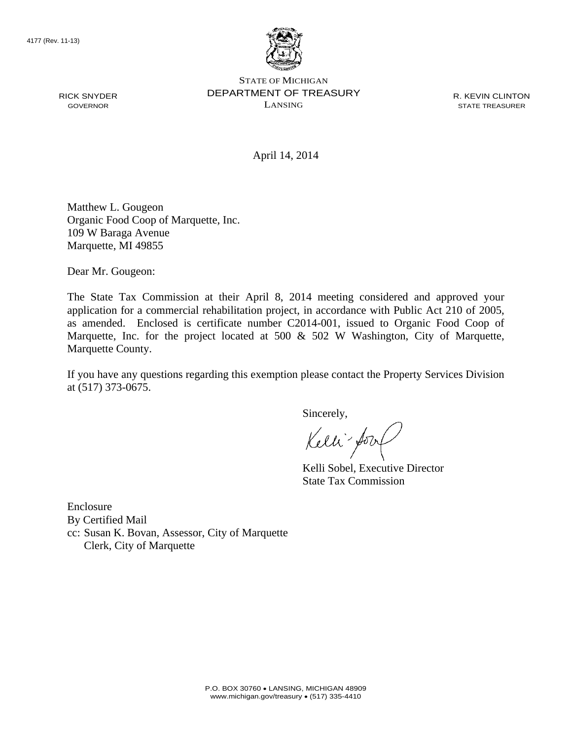RICK SNYDER GOVERNOR



STATE OF MICHIGAN DEPARTMENT OF TREASURY LANSING

R. KEVIN CLINTON STATE TREASURER

April 14, 2014

Matthew L. Gougeon Organic Food Coop of Marquette, Inc. 109 W Baraga Avenue Marquette, MI 49855

Dear Mr. Gougeon:

The State Tax Commission at their April 8, 2014 meeting considered and approved your application for a commercial rehabilitation project, in accordance with Public Act 210 of 2005, as amended. Enclosed is certificate number C2014-001, issued to Organic Food Coop of Marquette, Inc. for the project located at 500 & 502 W Washington, City of Marquette, Marquette County.

If you have any questions regarding this exemption please contact the Property Services Division at (517) 373-0675.

Sincerely,

Kelli-fo.

Kelli Sobel, Executive Director State Tax Commission

Enclosure By Certified Mail cc: Susan K. Bovan, Assessor, City of Marquette Clerk, City of Marquette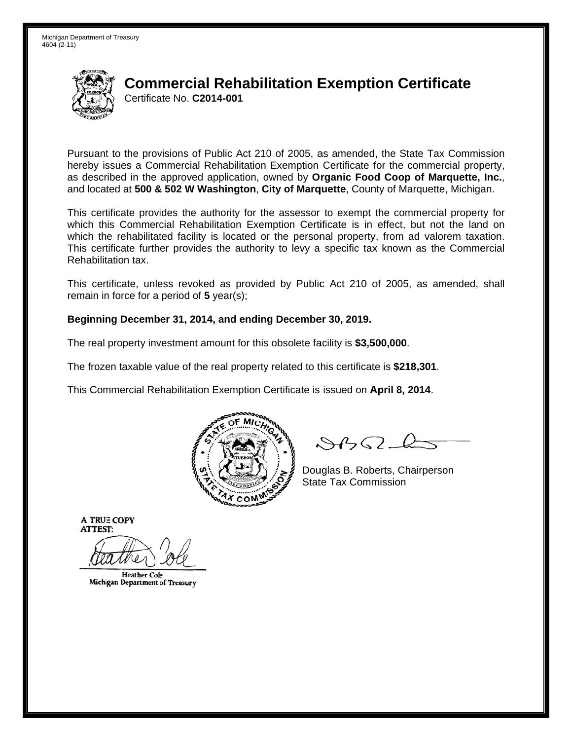

## **Commercial Rehabilitation Exemption Certificate** Certificate No. C2014-001

Pursuant to the provisions of Public Act 210 of 2005, as amended, the State Tax Commission hereby issues a Commercial Rehabilitation Exemption Certificate for the commercial property. as described in the approved application, owned by Organic Food Coop of Marquette, Inc., and located at 500 & 502 W Washington, City of Marquette, County of Marquette, Michigan.

This certificate provides the authority for the assessor to exempt the commercial property for which this Commercial Rehabilitation Exemption Certificate is in effect, but not the land on which the rehabilitated facility is located or the personal property, from ad valorem taxation. This certificate further provides the authority to levy a specific tax known as the Commercial Rehabilitation tax.

This certificate, unless revoked as provided by Public Act 210 of 2005, as amended, shall remain in force for a period of  $5$  year(s);

## Beginning December 31, 2014, and ending December 30, 2019.

The real property investment amount for this obsolete facility is \$3,500,000.

The frozen taxable value of the real property related to this certificate is \$218,301.

This Commercial Rehabilitation Exemption Certificate is issued on April 8, 2014.



 $8450 - 6$ 

Douglas B. Roberts, Chairperson **State Tax Commission** 

**A TRUE COPY ATTEST:** 

**Heather Cole** Michigan Department of Treasury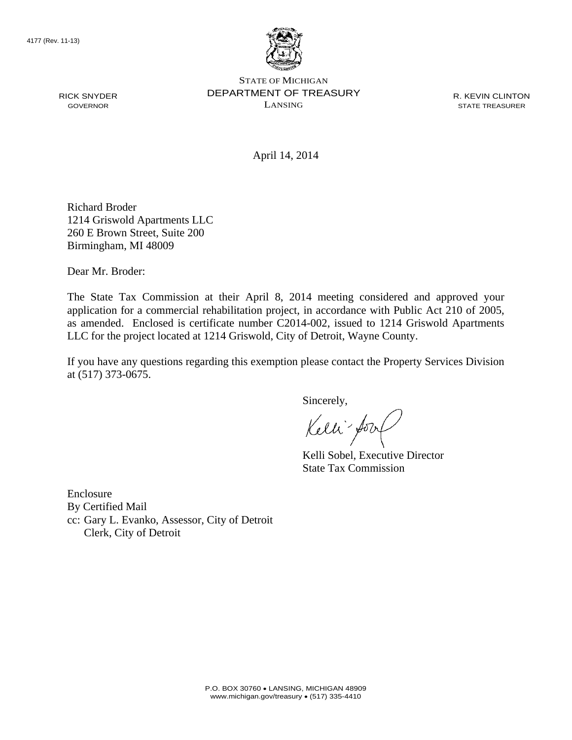

STATE OF MICHIGAN DEPARTMENT OF TREASURY LANSING

R. KEVIN CLINTON STATE TREASURER

April 14, 2014

Richard Broder 1214 Griswold Apartments LLC 260 E Brown Street, Suite 200 Birmingham, MI 48009

Dear Mr. Broder:

The State Tax Commission at their April 8, 2014 meeting considered and approved your application for a commercial rehabilitation project, in accordance with Public Act 210 of 2005, as amended. Enclosed is certificate number C2014-002, issued to 1214 Griswold Apartments LLC for the project located at 1214 Griswold, City of Detroit, Wayne County.

If you have any questions regarding this exemption please contact the Property Services Division at (517) 373-0675.

Sincerely,

Kelli fory

Kelli Sobel, Executive Director State Tax Commission

Enclosure By Certified Mail cc: Gary L. Evanko, Assessor, City of Detroit Clerk, City of Detroit

RICK SNYDER GOVERNOR